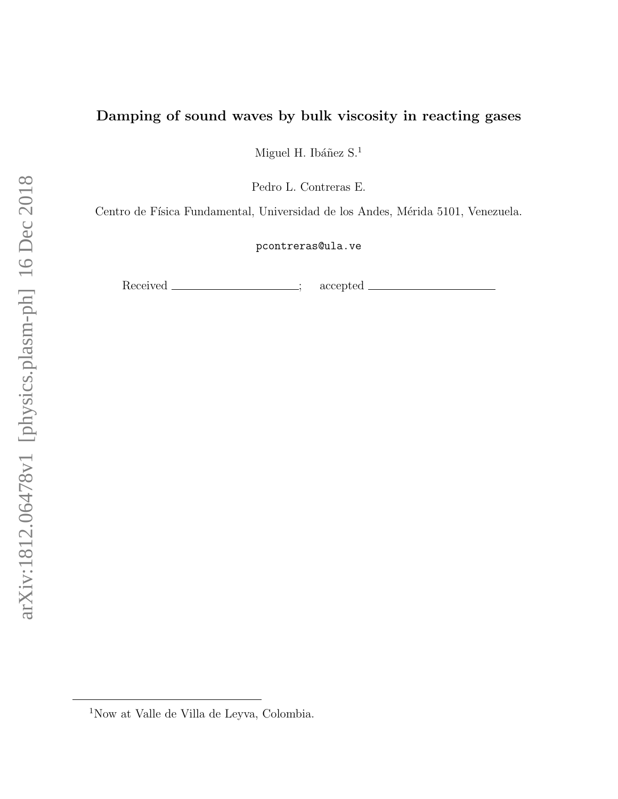# Damping of sound waves by bulk viscosity in reacting gases

Miguel H. Ibáñez $\mathrm{S}^{.1}$ 

Pedro L. Contreras E.

Centro de Física Fundamental, Universidad de los Andes, Mérida 5101, Venezuela.

pcontreras@ula.ve

Received \_\_\_\_\_\_\_\_\_\_\_\_\_\_\_\_; accepted

<sup>1</sup>Now at Valle de Villa de Leyva, Colombia.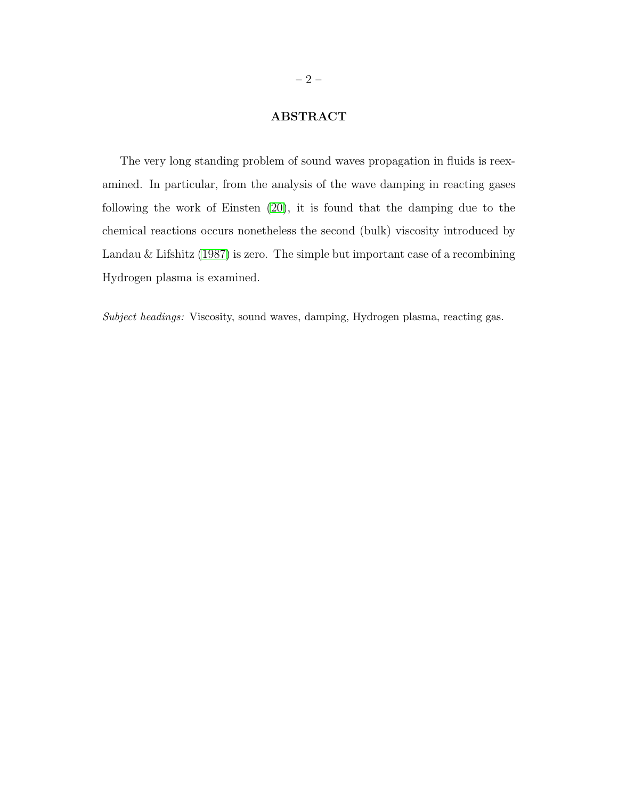## ABSTRACT

The very long standing problem of sound waves propagation in fluids is reexamined. In particular, from the analysis of the wave damping in reacting gases following the work of Einsten [\(20\)](#page-16-0), it is found that the damping due to the chemical reactions occurs nonetheless the second (bulk) viscosity introduced by Landau & Lifshitz [\(1987\)](#page-17-0) is zero. The simple but important case of a recombining Hydrogen plasma is examined.

Subject headings: Viscosity, sound waves, damping, Hydrogen plasma, reacting gas.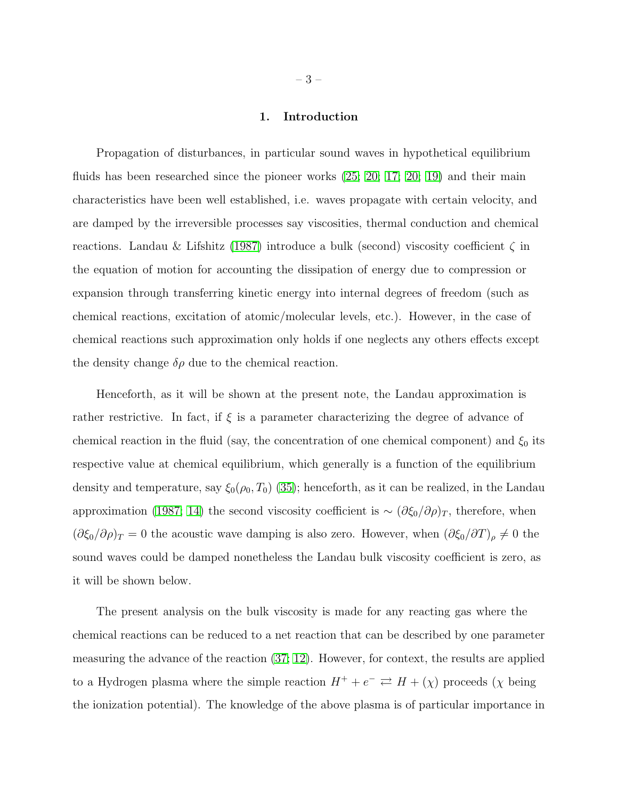## 1. Introduction

Propagation of disturbances, in particular sound waves in hypothetical equilibrium fluids has been researched since the pioneer works  $(25; 20; 17; 20; 19)$  $(25; 20; 17; 20; 19)$  $(25; 20; 17; 20; 19)$  $(25; 20; 17; 20; 19)$  $(25; 20; 17; 20; 19)$  and their main characteristics have been well established, i.e. waves propagate with certain velocity, and are damped by the irreversible processes say viscosities, thermal conduction and chemical reactions. Landau & Lifshitz [\(1987\)](#page-17-0) introduce a bulk (second) viscosity coefficient  $\zeta$  in the equation of motion for accounting the dissipation of energy due to compression or expansion through transferring kinetic energy into internal degrees of freedom (such as chemical reactions, excitation of atomic/molecular levels, etc.). However, in the case of chemical reactions such approximation only holds if one neglects any others effects except the density change  $\delta \rho$  due to the chemical reaction.

Henceforth, as it will be shown at the present note, the Landau approximation is rather restrictive. In fact, if  $\xi$  is a parameter characterizing the degree of advance of chemical reaction in the fluid (say, the concentration of one chemical component) and  $\xi_0$  its respective value at chemical equilibrium, which generally is a function of the equilibrium density and temperature, say  $\xi_0(\rho_0, T_0)$  [\(35\)](#page-18-0); henceforth, as it can be realized, in the Landau approximation [\(1987;](#page-17-0) [14\)](#page-16-1) the second viscosity coefficient is  $\sim (\partial \xi_0/\partial \rho)_T$ , therefore, when  $(\partial \xi_0/\partial \rho)_T = 0$  the acoustic wave damping is also zero. However, when  $(\partial \xi_0/\partial T)_{\rho} \neq 0$  the sound waves could be damped nonetheless the Landau bulk viscosity coefficient is zero, as it will be shown below.

The present analysis on the bulk viscosity is made for any reacting gas where the chemical reactions can be reduced to a net reaction that can be described by one parameter measuring the advance of the reaction [\(37;](#page-18-1) [12\)](#page-16-2). However, for context, the results are applied to a Hydrogen plasma where the simple reaction  $H^+ + e^- \rightleftarrows H + (\chi)$  proceeds  $(\chi$  being the ionization potential). The knowledge of the above plasma is of particular importance in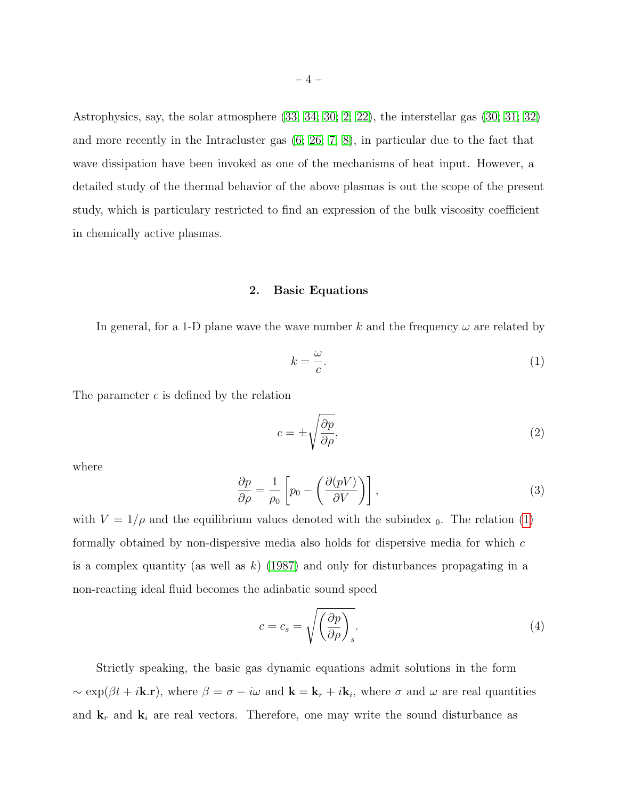Astrophysics, say, the solar atmosphere [\(33;](#page-17-5) [34;](#page-18-2) [30;](#page-17-6) [2;](#page-16-3) [22\)](#page-17-7), the interstellar gas [\(30;](#page-17-6) [31;](#page-17-8) [32\)](#page-17-9) and more recently in the Intracluster gas [\(6;](#page-16-4) [26;](#page-17-10) [7;](#page-16-5) [8\)](#page-16-6), in particular due to the fact that wave dissipation have been invoked as one of the mechanisms of heat input. However, a detailed study of the thermal behavior of the above plasmas is out the scope of the present study, which is particulary restricted to find an expression of the bulk viscosity coefficient in chemically active plasmas.

## 2. Basic Equations

In general, for a 1-D plane wave the wave number k and the frequency  $\omega$  are related by

<span id="page-3-0"></span>
$$
k = \frac{\omega}{c}.\tag{1}
$$

The parameter  $c$  is defined by the relation

$$
c = \pm \sqrt{\frac{\partial p}{\partial \rho}},\tag{2}
$$

where

<span id="page-3-1"></span>
$$
\frac{\partial p}{\partial \rho} = \frac{1}{\rho_0} \left[ p_0 - \left( \frac{\partial (pV)}{\partial V} \right) \right],\tag{3}
$$

with  $V = 1/\rho$  and the equilibrium values denoted with the subindex  $_0$ . The relation [\(1\)](#page-3-0) formally obtained by non-dispersive media also holds for dispersive media for which c is a complex quantity (as well as  $k$ ) [\(1987\)](#page-17-0) and only for disturbances propagating in a non-reacting ideal fluid becomes the adiabatic sound speed

$$
c = c_s = \sqrt{\left(\frac{\partial p}{\partial \rho}\right)_s}.\tag{4}
$$

Strictly speaking, the basic gas dynamic equations admit solutions in the form  $\sim \exp(\beta t + i\mathbf{k}.\mathbf{r})$ , where  $\beta = \sigma - i\omega$  and  $\mathbf{k} = \mathbf{k}_r + i\mathbf{k}_i$ , where  $\sigma$  and  $\omega$  are real quantities and  $\mathbf{k}_r$  and  $\mathbf{k}_i$  are real vectors. Therefore, one may write the sound disturbance as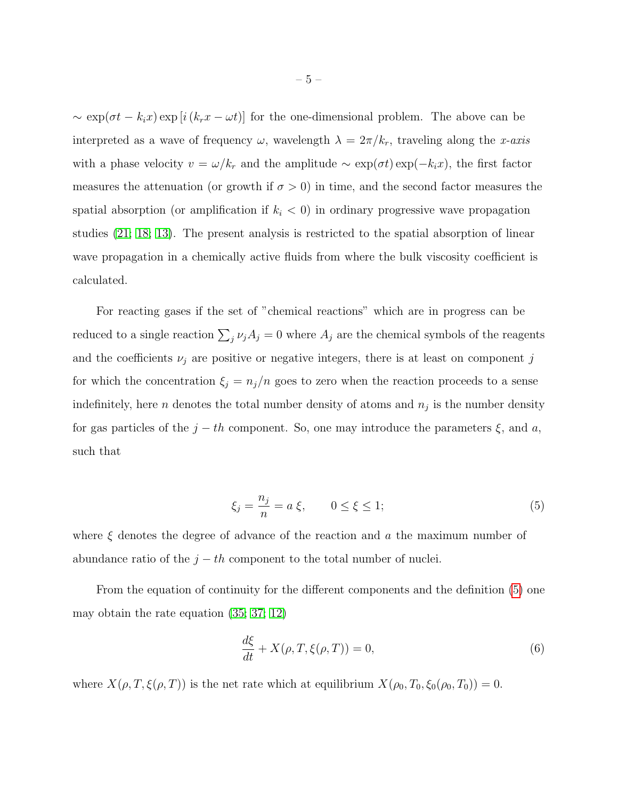$\sim \exp(\sigma t - k_i x) \exp[i(k_r x - \omega t)]$  for the one-dimensional problem. The above can be interpreted as a wave of frequency  $\omega$ , wavelength  $\lambda = 2\pi/k_r$ , traveling along the x-axis with a phase velocity  $v = \omega/k_r$  and the amplitude  $\sim \exp(\sigma t) \exp(-k_i x)$ , the first factor measures the attenuation (or growth if  $\sigma > 0$ ) in time, and the second factor measures the spatial absorption (or amplification if  $k<sub>i</sub> < 0$ ) in ordinary progressive wave propagation studies [\(21;](#page-17-11) [18;](#page-17-12) [13\)](#page-16-7). The present analysis is restricted to the spatial absorption of linear wave propagation in a chemically active fluids from where the bulk viscosity coefficient is calculated.

For reacting gases if the set of "chemical reactions" which are in progress can be reduced to a single reaction  $\sum_j \nu_j A_j = 0$  where  $A_j$  are the chemical symbols of the reagents and the coefficients  $\nu_j$  are positive or negative integers, there is at least on component j for which the concentration  $\xi_j = n_j/n$  goes to zero when the reaction proceeds to a sense indefinitely, here *n* denotes the total number density of atoms and  $n_j$  is the number density for gas particles of the  $j - th$  component. So, one may introduce the parameters  $\xi$ , and a, such that

<span id="page-4-0"></span>
$$
\xi_j = \frac{n_j}{n} = a \xi, \qquad 0 \le \xi \le 1; \tag{5}
$$

where  $\xi$  denotes the degree of advance of the reaction and a the maximum number of abundance ratio of the  $j - th$  component to the total number of nuclei.

From the equation of continuity for the different components and the definition [\(5\)](#page-4-0) one may obtain the rate equation [\(35;](#page-18-0) [37;](#page-18-1) [12\)](#page-16-2)

<span id="page-4-1"></span>
$$
\frac{d\xi}{dt} + X(\rho, T, \xi(\rho, T)) = 0,\t\t(6)
$$

where  $X(\rho, T, \xi(\rho, T))$  is the net rate which at equilibrium  $X(\rho_0, T_0, \xi_0(\rho_0, T_0)) = 0$ .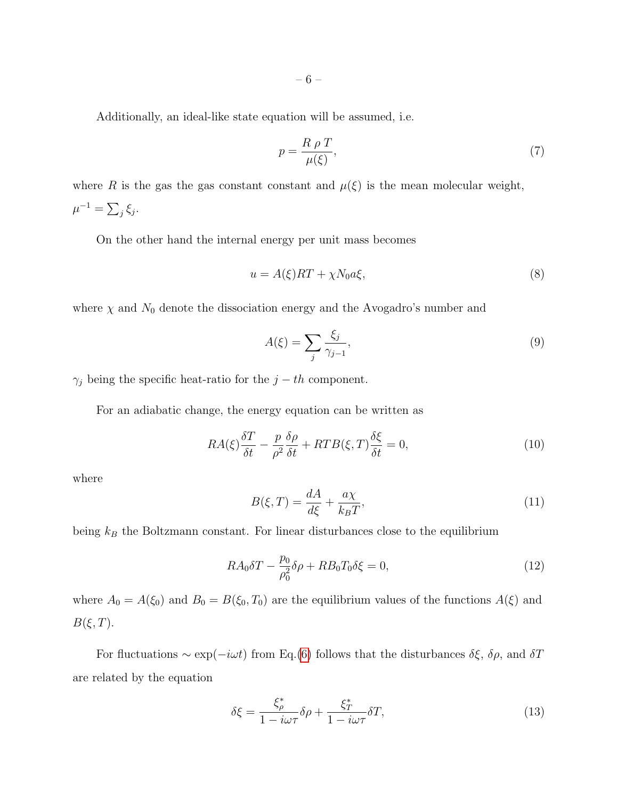Additionally, an ideal-like state equation will be assumed, i.e.

<span id="page-5-0"></span>
$$
p = \frac{R \rho T}{\mu(\xi)},\tag{7}
$$

where R is the gas the gas constant constant and  $\mu(\xi)$  is the mean molecular weight,  $\mu^{-1} = \sum_j \xi_j.$ 

On the other hand the internal energy per unit mass becomes

$$
u = A(\xi)RT + \chi N_0 a\xi,\tag{8}
$$

where  $\chi$  and  $N_0$  denote the dissociation energy and the Avogadro's number and

$$
A(\xi) = \sum_{j} \frac{\xi_j}{\gamma_{j-1}},\tag{9}
$$

 $\gamma_j$  being the specific heat-ratio for the  $j-th$  component.

For an adiabatic change, the energy equation can be written as

<span id="page-5-2"></span>
$$
RA(\xi)\frac{\delta T}{\delta t} - \frac{p}{\rho^2}\frac{\delta \rho}{\delta t} + RTB(\xi, T)\frac{\delta \xi}{\delta t} = 0,\tag{10}
$$

where

$$
B(\xi, T) = \frac{dA}{d\xi} + \frac{a\chi}{k_B T},\tag{11}
$$

being  $k_B$  the Boltzmann constant. For linear disturbances close to the equilibrium

<span id="page-5-1"></span>
$$
RA_0 \delta T - \frac{p_0}{\rho_0^2} \delta \rho + RB_0 T_0 \delta \xi = 0,
$$
\n(12)

where  $A_0 = A(\xi_0)$  and  $B_0 = B(\xi_0, T_0)$  are the equilibrium values of the functions  $A(\xi)$  and  $B(\xi,T)$ .

For fluctuations  $\sim \exp(-i\omega t)$  from Eq.[\(6\)](#page-4-1) follows that the disturbances  $\delta \xi$ ,  $\delta \rho$ , and  $\delta T$ are related by the equation

$$
\delta \xi = \frac{\xi_{\rho}^{*}}{1 - i\omega \tau} \delta \rho + \frac{\xi_{T}^{*}}{1 - i\omega \tau} \delta T, \qquad (13)
$$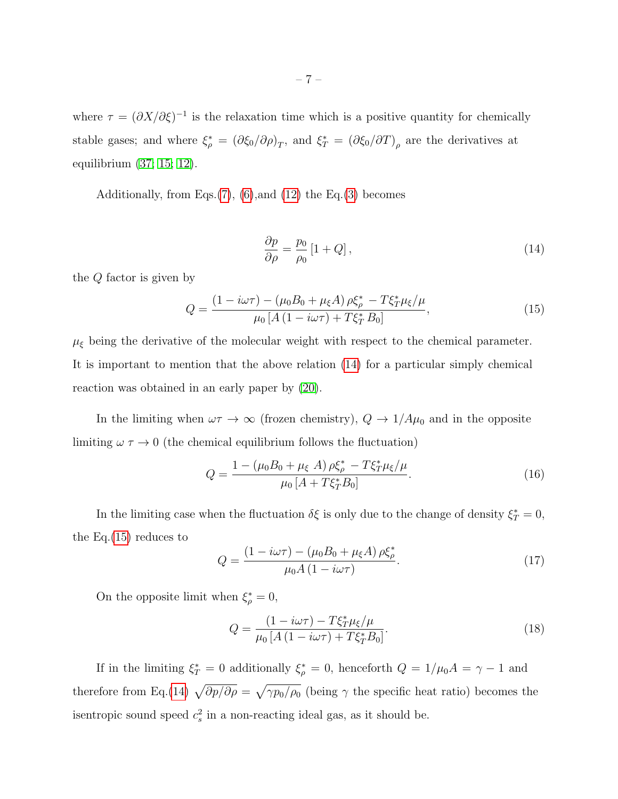where  $\tau = (\partial X/\partial \xi)^{-1}$  is the relaxation time which is a positive quantity for chemically stable gases; and where  $\xi_{\rho}^* = (\partial \xi_0 / \partial \rho)_T$ , and  $\xi_T^* = (\partial \xi_0 / \partial T)_{\rho}$  are the derivatives at equilibrium [\(37;](#page-18-1) [15;](#page-16-8) [12\)](#page-16-2).

Additionally, from Eqs. $(7)$ ,  $(6)$ , and  $(12)$  the Eq. $(3)$  becomes

<span id="page-6-0"></span>
$$
\frac{\partial p}{\partial \rho} = \frac{p_0}{\rho_0} \left[ 1 + Q \right],\tag{14}
$$

the Q factor is given by

<span id="page-6-1"></span>
$$
Q = \frac{(1 - i\omega\tau) - (\mu_0 B_0 + \mu_\xi A)\rho \xi_\rho^* - T\xi_T^* \mu_\xi/\mu}{\mu_0 \left[A\left(1 - i\omega\tau\right) + T\xi_T^* B_0\right]},\tag{15}
$$

 $\mu_{\xi}$  being the derivative of the molecular weight with respect to the chemical parameter. It is important to mention that the above relation [\(14\)](#page-6-0) for a particular simply chemical reaction was obtained in an early paper by [\(20\)](#page-16-0).

In the limiting when  $\omega \tau \to \infty$  (frozen chemistry),  $Q \to 1/A\mu_0$  and in the opposite limiting  $\omega \tau \rightarrow 0$  (the chemical equilibrium follows the fluctuation)

$$
Q = \frac{1 - (\mu_0 B_0 + \mu_\xi A) \rho \xi_\rho^* - T \xi_T^* \mu_\xi / \mu}{\mu_0 [A + T \xi_T^* B_0]}.
$$
(16)

In the limiting case when the fluctuation  $\delta \xi$  is only due to the change of density  $\xi_T^* = 0$ , the Eq.[\(15\)](#page-6-1) reduces to

$$
Q = \frac{(1 - i\omega\tau) - (\mu_0 B_0 + \mu_\xi A)\,\rho \xi_\rho^*}{\mu_0 A \,(1 - i\omega\tau)}.\tag{17}
$$

On the opposite limit when  $\xi_{\rho}^* = 0$ ,

$$
Q = \frac{(1 - i\omega\tau) - T\xi_T^* \mu_\xi / \mu}{\mu_0 \left[ A \left( 1 - i\omega\tau \right) + T\xi_T^* B_0 \right]}.
$$
\n(18)

If in the limiting  $\xi_T^* = 0$  additionally  $\xi_{\rho}^* = 0$ , henceforth  $Q = 1/\mu_0 A = \gamma - 1$  and therefore from Eq.[\(14\)](#page-6-0)  $\sqrt{\partial p/\partial \rho} = \sqrt{\gamma p_0/\rho_0}$  (being  $\gamma$  the specific heat ratio) becomes the is entropic sound speed  $c_s^2$  in a non-reacting ideal gas, as it should be.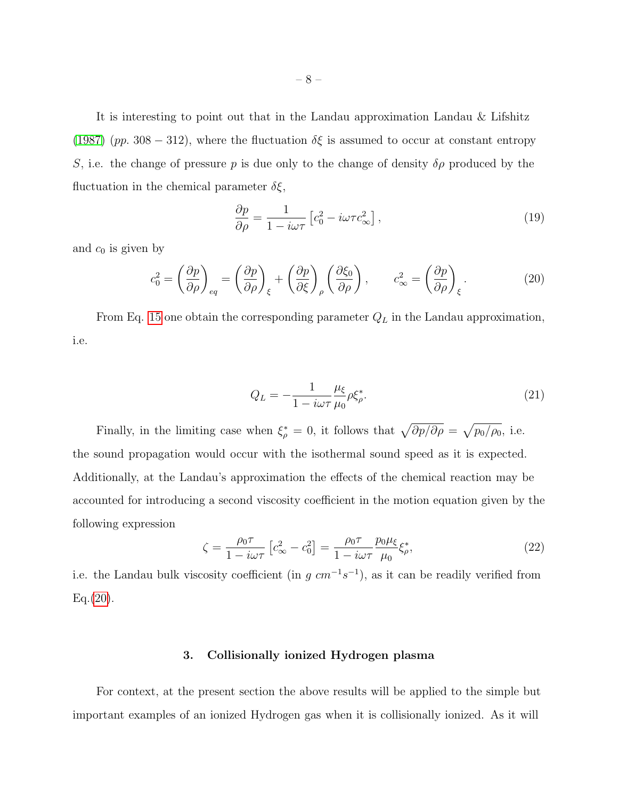It is interesting to point out that in the Landau approximation Landau & Lifshitz [\(1987\)](#page-17-0) (pp. 308 – 312), where the fluctuation  $\delta \xi$  is assumed to occur at constant entropy S, i.e. the change of pressure p is due only to the change of density  $\delta \rho$  produced by the fluctuation in the chemical parameter  $\delta \xi$ ,

$$
\frac{\partial p}{\partial \rho} = \frac{1}{1 - i\omega\tau} \left[ c_0^2 - i\omega\tau c_\infty^2 \right],\tag{19}
$$

and  $c_0$  is given by

<span id="page-7-0"></span>
$$
c_0^2 = \left(\frac{\partial p}{\partial \rho}\right)_{eq} = \left(\frac{\partial p}{\partial \rho}\right)_{\xi} + \left(\frac{\partial p}{\partial \xi}\right)_{\rho} \left(\frac{\partial \xi_0}{\partial \rho}\right), \qquad c_{\infty}^2 = \left(\frac{\partial p}{\partial \rho}\right)_{\xi}.
$$
 (20)

From Eq. [15](#page-6-1) one obtain the corresponding parameter  $Q_L$  in the Landau approximation, i.e.

$$
Q_L = -\frac{1}{1 - i\omega\tau} \frac{\mu_\xi}{\mu_0} \rho \xi_\rho^*.
$$
\n(21)

Finally, in the limiting case when  $\xi_{\rho}^* = 0$ , it follows that  $\sqrt{\frac{\partial p}{\partial \rho}} = \sqrt{\frac{p_0}{\rho_0}}$ , i.e. the sound propagation would occur with the isothermal sound speed as it is expected. Additionally, at the Landau's approximation the effects of the chemical reaction may be accounted for introducing a second viscosity coefficient in the motion equation given by the following expression

<span id="page-7-1"></span>
$$
\zeta = \frac{\rho_0 \tau}{1 - i\omega \tau} \left[ c_\infty^2 - c_0^2 \right] = \frac{\rho_0 \tau}{1 - i\omega \tau} \frac{p_0 \mu_\xi}{\mu_0} \xi_\rho^*,\tag{22}
$$

i.e. the Landau bulk viscosity coefficient (in  $g \, cm^{-1} s^{-1}$ ), as it can be readily verified from  $Eq. (20).$  $Eq. (20).$  $Eq. (20).$ 

## 3. Collisionally ionized Hydrogen plasma

<span id="page-7-2"></span>For context, at the present section the above results will be applied to the simple but important examples of an ionized Hydrogen gas when it is collisionally ionized. As it will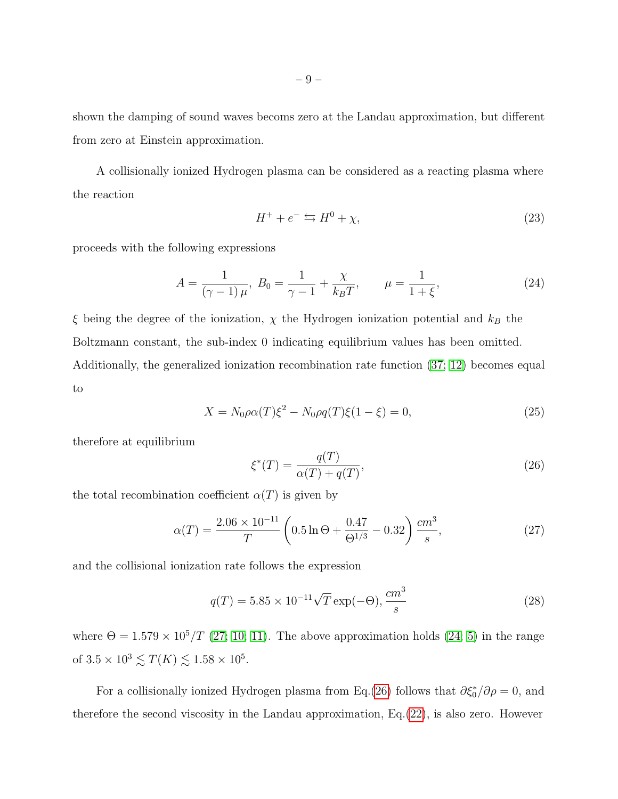shown the damping of sound waves becoms zero at the Landau approximation, but different from zero at Einstein approximation.

A collisionally ionized Hydrogen plasma can be considered as a reacting plasma where the reaction

$$
H^+ + e^- \leftrightarrows H^0 + \chi,\tag{23}
$$

proceeds with the following expressions

$$
A = \frac{1}{(\gamma - 1)\,\mu}, \ B_0 = \frac{1}{\gamma - 1} + \frac{\chi}{k_B T}, \qquad \mu = \frac{1}{1 + \xi}, \tag{24}
$$

 $\xi$  being the degree of the ionization,  $\chi$  the Hydrogen ionization potential and  $k_B$  the Boltzmann constant, the sub-index 0 indicating equilibrium values has been omitted. Additionally, the generalized ionization recombination rate function [\(37;](#page-18-1) [12\)](#page-16-2) becomes equal to

<span id="page-8-1"></span>
$$
X = N_0 \rho \alpha(T) \xi^2 - N_0 \rho q(T) \xi(1 - \xi) = 0,
$$
\n(25)

therefore at equilibrium

<span id="page-8-0"></span>
$$
\xi^*(T) = \frac{q(T)}{\alpha(T) + q(T)},\tag{26}
$$

the total recombination coefficient  $\alpha(T)$  is given by

<span id="page-8-3"></span>
$$
\alpha(T) = \frac{2.06 \times 10^{-11}}{T} \left( 0.5 \ln \Theta + \frac{0.47}{\Theta^{1/3}} - 0.32 \right) \frac{cm^3}{s},\tag{27}
$$

and the collisional ionization rate follows the expression

<span id="page-8-2"></span>
$$
q(T) = 5.85 \times 10^{-11} \sqrt{T} \exp(-\Theta), \frac{cm^3}{s}
$$
 (28)

where  $\Theta = 1.579 \times 10^5/T$  [\(27;](#page-17-13) [10;](#page-16-9) [11\)](#page-16-10). The above approximation holds [\(24;](#page-17-14) [5\)](#page-16-11) in the range of  $3.5 \times 10^3 \le T(K) \le 1.58 \times 10^5$ .

For a collisionally ionized Hydrogen plasma from Eq.[\(26\)](#page-8-0) follows that  $\partial \xi_0^* / \partial \rho = 0$ , and therefore the second viscosity in the Landau approximation, Eq.[\(22\)](#page-7-1), is also zero. However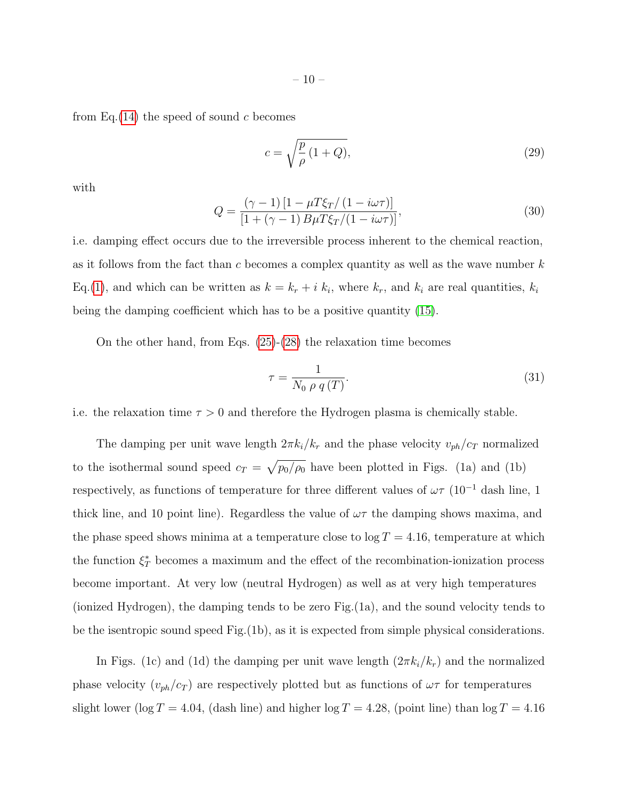from Eq.  $(14)$  the speed of sound c becomes

<span id="page-9-0"></span>
$$
c = \sqrt{\frac{p}{\rho} \left( 1 + Q \right)},\tag{29}
$$

with

<span id="page-9-1"></span>
$$
Q = \frac{(\gamma - 1)\left[1 - \mu T \xi_T / \left(1 - i\omega \tau\right)\right]}{\left[1 + (\gamma - 1)B\mu T \xi_T / \left(1 - i\omega \tau\right)\right]},\tag{30}
$$

i.e. damping effect occurs due to the irreversible process inherent to the chemical reaction, as it follows from the fact than c becomes a complex quantity as well as the wave number  $k$ Eq.[\(1\)](#page-3-0), and which can be written as  $k = k_r + i k_i$ , where  $k_r$ , and  $k_i$  are real quantities,  $k_i$ being the damping coefficient which has to be a positive quantity [\(15\)](#page-16-8).

On the other hand, from Eqs. [\(25\)](#page-8-1)-[\(28\)](#page-8-2) the relaxation time becomes

$$
\tau = \frac{1}{N_0 \rho q(T)}.\tag{31}
$$

i.e. the relaxation time  $\tau > 0$  and therefore the Hydrogen plasma is chemically stable.

The damping per unit wave length  $2\pi k_i/k_r$  and the phase velocity  $v_{ph}/c_T$  normalized to the isothermal sound speed  $c_T = \sqrt{p_0/\rho_0}$  have been plotted in Figs. (1a) and (1b) respectively, as functions of temperature for three different values of  $\omega\tau$  (10<sup>-1</sup> dash line, 1 thick line, and 10 point line). Regardless the value of  $\omega\tau$  the damping shows maxima, and the phase speed shows minima at a temperature close to  $log T = 4.16$ , temperature at which the function  $\xi_T^*$  becomes a maximum and the effect of the recombination-ionization process become important. At very low (neutral Hydrogen) as well as at very high temperatures (ionized Hydrogen), the damping tends to be zero Fig.(1a), and the sound velocity tends to be the isentropic sound speed Fig.(1b), as it is expected from simple physical considerations.

In Figs. (1c) and (1d) the damping per unit wave length  $(2\pi k_i/k_r)$  and the normalized phase velocity  $(v_{ph}/c_T)$  are respectively plotted but as functions of  $\omega\tau$  for temperatures slight lower (log  $T = 4.04$ , (dash line) and higher log  $T = 4.28$ , (point line) than log  $T = 4.16$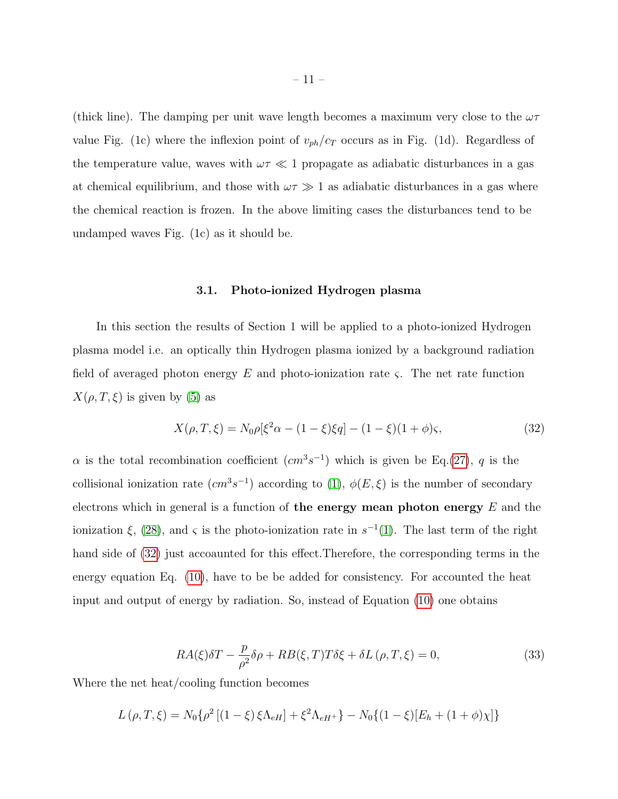(thick line). The damping per unit wave length becomes a maximum very close to the  $\omega\tau$ value Fig. (1c) where the inflexion point of  $v_{ph}/c_T$  occurs as in Fig. (1d). Regardless of the temperature value, waves with  $\omega \tau \ll 1$  propagate as adiabatic disturbances in a gas at chemical equilibrium, and those with  $\omega \tau \gg 1$  as adiabatic disturbances in a gas where the chemical reaction is frozen. In the above limiting cases the disturbances tend to be undamped waves Fig. (1c) as it should be.

## 3.1. Photo-ionized Hydrogen plasma

In this section the results of Section 1 will be applied to a photo-ionized Hydrogen plasma model i.e. an optically thin Hydrogen plasma ionized by a background radiation field of averaged photon energy E and photo-ionization rate  $\varsigma$ . The net rate function  $X(\rho, T, \xi)$  is given by [\(5\)](#page-16-11) as

<span id="page-10-0"></span>
$$
X(\rho, T, \xi) = N_0 \rho [\xi^2 \alpha - (1 - \xi)\xi q] - (1 - \xi)(1 + \phi)\varsigma,
$$
\n(32)

 $\alpha$  is the total recombination coefficient  $(cm^3s^{-1})$  which is given be Eq.[\(27\)](#page-8-3), q is the collisional ionization rate  $(cm^3s^{-1})$  according to [\(1\)](#page-16-12),  $\phi(E,\xi)$  is the number of secondary electrons which in general is a function of the energy mean photon energy  $E$  and the ionization  $\xi$ , [\(28\)](#page-17-15), and  $\varsigma$  is the photo-ionization rate in  $s^{-1}(1)$  $s^{-1}(1)$ . The last term of the right hand side of [\(32\)](#page-10-0) just accoaunted for this effect.Therefore, the corresponding terms in the energy equation Eq. [\(10\)](#page-5-2), have to be be added for consistency. For accounted the heat input and output of energy by radiation. So, instead of Equation [\(10\)](#page-5-2) one obtains

$$
RA(\xi)\delta T - \frac{p}{\rho^2}\delta\rho + RB(\xi, T)T\delta\xi + \delta L(\rho, T, \xi) = 0,
$$
\n(33)

Where the net heat/cooling function becomes

$$
L(\rho, T, \xi) = N_0 \{ \rho^2 \left[ (1 - \xi) \xi \Lambda_{eH} \right] + \xi^2 \Lambda_{eH^+} \} - N_0 \{ (1 - \xi) \left[ E_h + (1 + \phi) \chi \right] \}
$$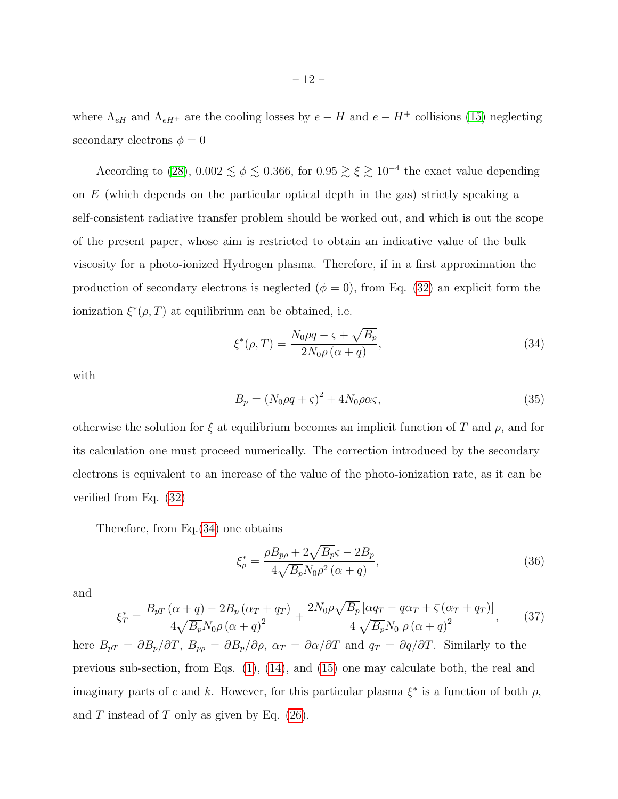where  $\Lambda_{eH}$  and  $\Lambda_{eH+}$  are the cooling losses by  $e - H$  and  $e - H^{+}$  collisions [\(15\)](#page-16-8) neglecting secondary electrons  $\phi = 0$ 

According to [\(28\)](#page-17-15), 0.002  $\leq \phi \leq 0.366$ , for  $0.95 \geq \xi \geq 10^{-4}$  the exact value depending on  $E$  (which depends on the particular optical depth in the gas) strictly speaking a self-consistent radiative transfer problem should be worked out, and which is out the scope of the present paper, whose aim is restricted to obtain an indicative value of the bulk viscosity for a photo-ionized Hydrogen plasma. Therefore, if in a first approximation the production of secondary electrons is neglected  $(\phi = 0)$ , from Eq. [\(32\)](#page-10-0) an explicit form the ionization  $\xi^*(\rho, T)$  at equilibrium can be obtained, i.e.

<span id="page-11-0"></span>
$$
\xi^*(\rho, T) = \frac{N_0 \rho q - \varsigma + \sqrt{B_p}}{2N_0 \rho \left(\alpha + q\right)},\tag{34}
$$

with

$$
B_p = (N_0 \rho q + \varsigma)^2 + 4N_0 \rho \alpha \varsigma,\tag{35}
$$

otherwise the solution for  $\xi$  at equilibrium becomes an implicit function of T and  $\rho$ , and for its calculation one must proceed numerically. The correction introduced by the secondary electrons is equivalent to an increase of the value of the photo-ionization rate, as it can be verified from Eq. [\(32\)](#page-10-0)

Therefore, from Eq.[\(34\)](#page-11-0) one obtains

$$
\xi_{\rho}^{*} = \frac{\rho B_{p\rho} + 2\sqrt{B_p} \varsigma - 2B_p}{4\sqrt{B_p} N_0 \rho^2 (\alpha + q)},
$$
\n(36)

and

$$
\xi_T^* = \frac{B_{pT}(\alpha + q) - 2B_p(\alpha_T + q_T)}{4\sqrt{B_p}N_0\rho(\alpha + q)^2} + \frac{2N_0\rho\sqrt{B_p}[\alpha q_T - q\alpha_T + \bar{\varsigma}(\alpha_T + q_T)]}{4\sqrt{B_p}N_0\rho(\alpha + q)^2},
$$
(37)

here  $B_{pT} = \partial B_p/\partial T$ ,  $B_{p\rho} = \partial B_p/\partial \rho$ ,  $\alpha_T = \partial \alpha/\partial T$  and  $q_T = \partial q/\partial T$ . Similarly to the previous sub-section, from Eqs. [\(1\)](#page-3-0), [\(14\)](#page-6-0), and [\(15\)](#page-6-1) one may calculate both, the real and imaginary parts of c and k. However, for this particular plasma  $\xi^*$  is a function of both  $\rho$ , and  $T$  instead of  $T$  only as given by Eq. [\(26\)](#page-8-0).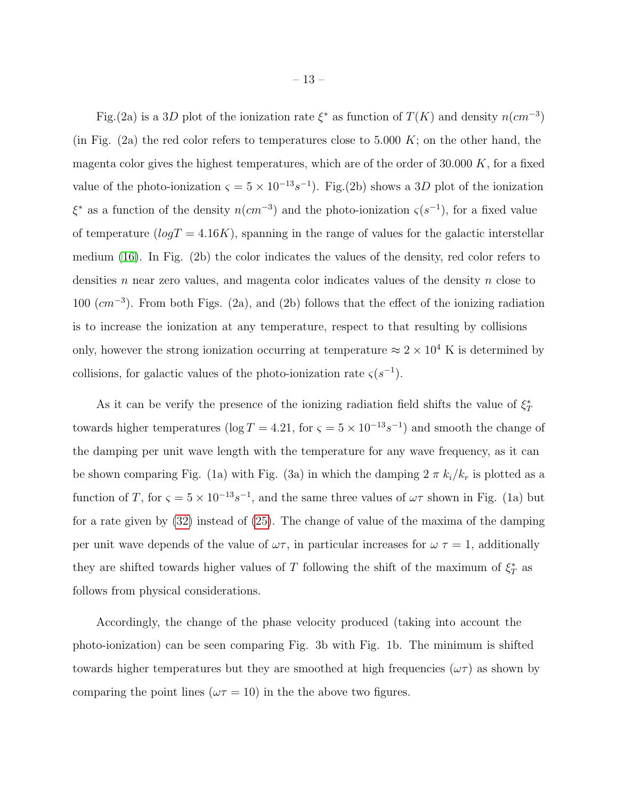Fig.(2a) is a 3D plot of the ionization rate  $\xi^*$  as function of  $T(K)$  and density  $n(cm^{-3})$ (in Fig. (2a) the red color refers to temperatures close to 5.000 K; on the other hand, the magenta color gives the highest temperatures, which are of the order of  $30.000 K$ , for a fixed value of the photo-ionization  $\varsigma = 5 \times 10^{-13} s^{-1}$ ). Fig.(2b) shows a 3D plot of the ionization  $\xi^*$  as a function of the density  $n(cm^{-3})$  and the photo-ionization  $\varsigma(s^{-1})$ , for a fixed value of temperature  $(logT = 4.16K)$ , spanning in the range of values for the galactic interstellar medium [\(16\)](#page-17-16). In Fig. (2b) the color indicates the values of the density, red color refers to densities n near zero values, and magenta color indicates values of the density n close to  $100 \ (cm^{-3})$ . From both Figs. (2a), and (2b) follows that the effect of the ionizing radiation is to increase the ionization at any temperature, respect to that resulting by collisions only, however the strong ionization occurring at temperature  $\approx 2 \times 10^4$  K is determined by collisions, for galactic values of the photo-ionization rate  $\zeta(s^{-1})$ .

As it can be verify the presence of the ionizing radiation field shifts the value of  $\xi^*_T$ towards higher temperatures (log  $T = 4.21$ , for  $\varsigma = 5 \times 10^{-13} s^{-1}$ ) and smooth the change of the damping per unit wave length with the temperature for any wave frequency, as it can be shown comparing Fig. (1a) with Fig. (3a) in which the damping  $2 \pi k_i/k_r$  is plotted as a function of T, for  $\varsigma = 5 \times 10^{-13} s^{-1}$ , and the same three values of  $\omega \tau$  shown in Fig. (1a) but for a rate given by [\(32\)](#page-10-0) instead of [\(25\)](#page-8-1). The change of value of the maxima of the damping per unit wave depends of the value of  $\omega\tau$ , in particular increases for  $\omega\tau = 1$ , additionally they are shifted towards higher values of T following the shift of the maximum of  $\xi_T^*$  as follows from physical considerations.

Accordingly, the change of the phase velocity produced (taking into account the photo-ionization) can be seen comparing Fig. 3b with Fig. 1b. The minimum is shifted towards higher temperatures but they are smoothed at high frequencies  $(\omega \tau)$  as shown by comparing the point lines ( $\omega \tau = 10$ ) in the the above two figures.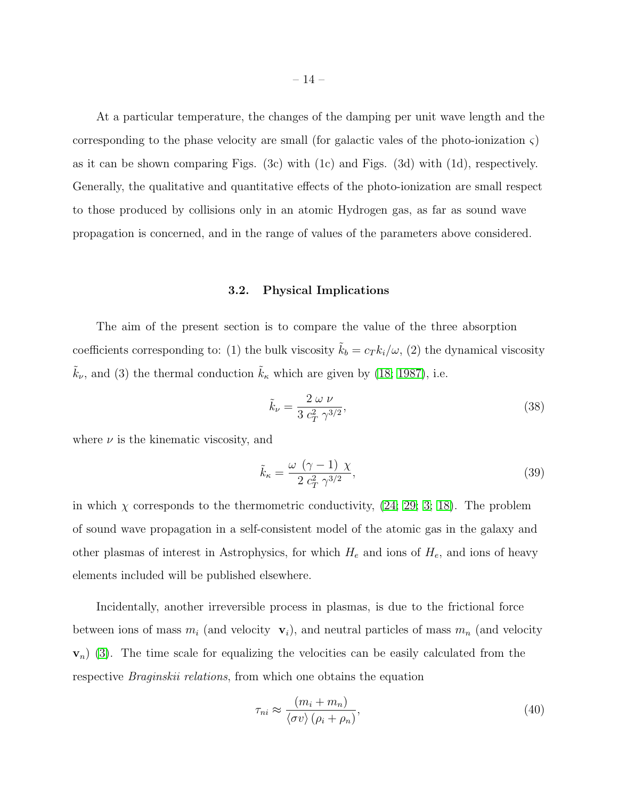At a particular temperature, the changes of the damping per unit wave length and the corresponding to the phase velocity are small (for galactic vales of the photo-ionization  $\varsigma$ ) as it can be shown comparing Figs. (3c) with (1c) and Figs. (3d) with (1d), respectively. Generally, the qualitative and quantitative effects of the photo-ionization are small respect to those produced by collisions only in an atomic Hydrogen gas, as far as sound wave propagation is concerned, and in the range of values of the parameters above considered.

## 3.2. Physical Implications

The aim of the present section is to compare the value of the three absorption coefficients corresponding to: (1) the bulk viscosity  $\tilde{k}_b = c_T k_i/\omega$ , (2) the dynamical viscosity  $\tilde{k}_{\nu}$ , and (3) the thermal conduction  $\tilde{k}_{\kappa}$  which are given by [\(18;](#page-17-12) [1987\)](#page-17-0), i.e.

$$
\tilde{k}_{\nu} = \frac{2 \omega \nu}{3 c_T^2 \gamma^{3/2}},\tag{38}
$$

where  $\nu$  is the kinematic viscosity, and

$$
\tilde{k}_{\kappa} = \frac{\omega \ (\gamma - 1) \ \chi}{2 \ c_T^2 \ \gamma^{3/2}},\tag{39}
$$

in which  $\chi$  corresponds to the thermometric conductivity, [\(24;](#page-17-14) [29;](#page-17-17) [3;](#page-16-13) [18\)](#page-17-12). The problem of sound wave propagation in a self-consistent model of the atomic gas in the galaxy and other plasmas of interest in Astrophysics, for which  $H_e$  and ions of  $H_e$ , and ions of heavy elements included will be published elsewhere.

Incidentally, another irreversible process in plasmas, is due to the frictional force between ions of mass  $m_i$  (and velocity  $\mathbf{v}_i$ ), and neutral particles of mass  $m_n$  (and velocity  $\mathbf{v}_n$ ) [\(3\)](#page-16-13). The time scale for equalizing the velocities can be easily calculated from the respective *Braginskii relations*, from which one obtains the equation

$$
\tau_{ni} \approx \frac{(m_i + m_n)}{\langle \sigma v \rangle (\rho_i + \rho_n)},\tag{40}
$$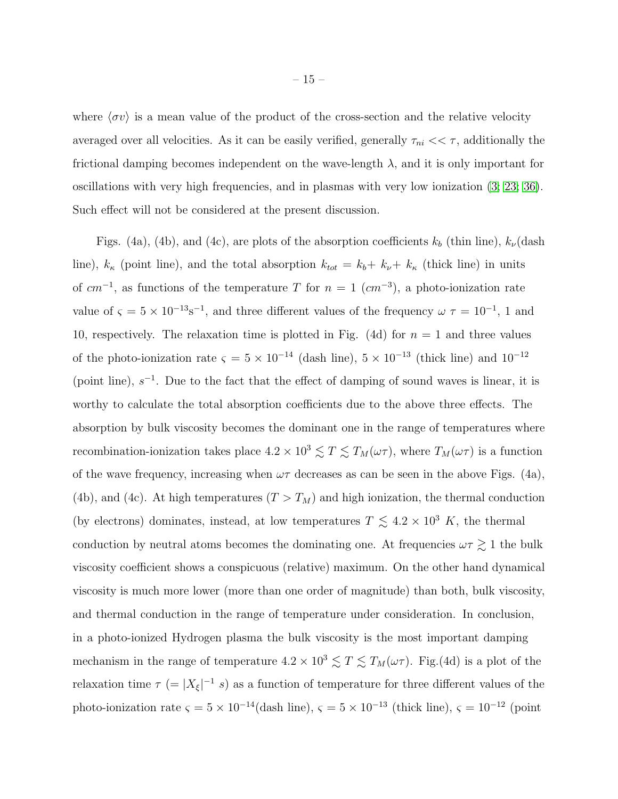where  $\langle \sigma v \rangle$  is a mean value of the product of the cross-section and the relative velocity averaged over all velocities. As it can be easily verified, generally  $\tau_{ni} << \tau$ , additionally the frictional damping becomes independent on the wave-length  $\lambda$ , and it is only important for oscillations with very high frequencies, and in plasmas with very low ionization [\(3;](#page-16-13) [23;](#page-17-18) [36\)](#page-18-3). Such effect will not be considered at the present discussion.

Figs. (4a), (4b), and (4c), are plots of the absorption coefficients  $k_b$  (thin line),  $k_{\nu}$ (dash line),  $k_{\kappa}$  (point line), and the total absorption  $k_{tot} = k_b + k_{\nu} + k_{\kappa}$  (thick line) in units of  $cm^{-1}$ , as functions of the temperature T for  $n = 1$  ( $cm^{-3}$ ), a photo-ionization rate value of  $\varsigma = 5 \times 10^{-13}$ s<sup>-1</sup>, and three different values of the frequency  $\omega \tau = 10^{-1}$ , 1 and 10, respectively. The relaxation time is plotted in Fig. (4d) for  $n = 1$  and three values of the photo-ionization rate  $\varsigma = 5 \times 10^{-14}$  (dash line),  $5 \times 10^{-13}$  (thick line) and  $10^{-12}$ (point line),  $s^{-1}$ . Due to the fact that the effect of damping of sound waves is linear, it is worthy to calculate the total absorption coefficients due to the above three effects. The absorption by bulk viscosity becomes the dominant one in the range of temperatures where recombination-ionization takes place  $4.2 \times 10^3 \lesssim T \lesssim T_M(\omega \tau)$ , where  $T_M(\omega \tau)$  is a function of the wave frequency, increasing when  $\omega\tau$  decreases as can be seen in the above Figs. (4a), (4b), and (4c). At high temperatures  $(T > T_M)$  and high ionization, the thermal conduction (by electrons) dominates, instead, at low temperatures  $T \lesssim 4.2 \times 10^3$  K, the thermal conduction by neutral atoms becomes the dominating one. At frequencies  $\omega\tau \gtrsim 1$  the bulk viscosity coefficient shows a conspicuous (relative) maximum. On the other hand dynamical viscosity is much more lower (more than one order of magnitude) than both, bulk viscosity, and thermal conduction in the range of temperature under consideration. In conclusion, in a photo-ionized Hydrogen plasma the bulk viscosity is the most important damping mechanism in the range of temperature  $4.2 \times 10^3 \lesssim T \lesssim T_M(\omega \tau)$ . Fig.(4d) is a plot of the relaxation time  $\tau$  (= | $X_{\xi}$ |<sup>-1</sup> s) as a function of temperature for three different values of the photo-ionization rate  $\varsigma = 5 \times 10^{-14}$  (dash line),  $\varsigma = 5 \times 10^{-13}$  (thick line),  $\varsigma = 10^{-12}$  (point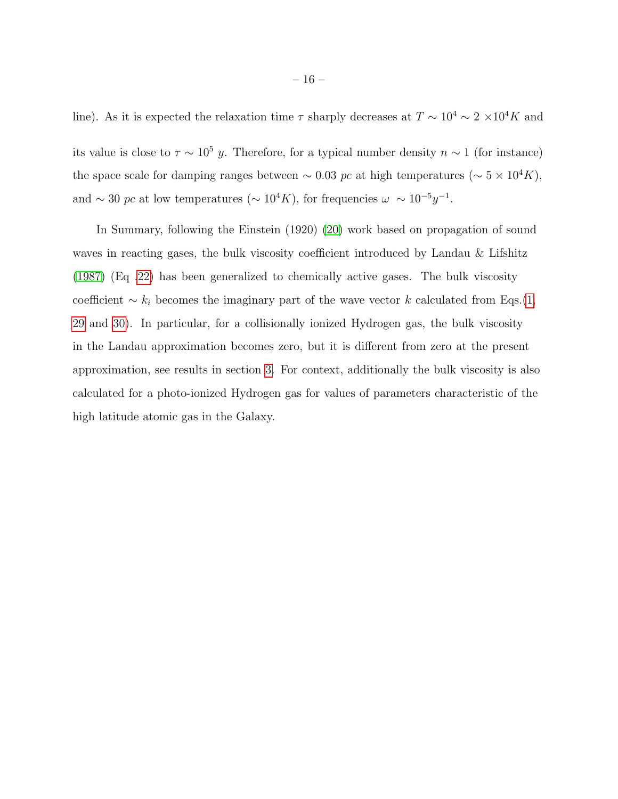line). As it is expected the relaxation time  $\tau$  sharply decreases at  $T \sim 10^4 \sim 2 \times 10^4 K$  and

its value is close to  $\tau \sim 10^5$  y. Therefore, for a typical number density  $n \sim 1$  (for instance) the space scale for damping ranges between ~ 0.03 pc at high temperatures (~  $5 \times 10^4 K$ ), and ~ 30 pc at low temperatures (~  $10^4 K$ ), for frequencies  $\omega \sim 10^{-5} y^{-1}$ .

In Summary, following the Einstein (1920) [\(20\)](#page-16-0) work based on propagation of sound waves in reacting gases, the bulk viscosity coefficient introduced by Landau & Lifshitz [\(1987\)](#page-17-0) (Eq [.22\)](#page-7-1) has been generalized to chemically active gases. The bulk viscosity coefficient  $\sim k_i$  becomes the imaginary part of the wave vector k calculated from Eqs.[\(1,](#page-3-0) [29](#page-9-0) and [30\)](#page-9-1). In particular, for a collisionally ionized Hydrogen gas, the bulk viscosity in the Landau approximation becomes zero, but it is different from zero at the present approximation, see results in section [3.](#page-7-2) For context, additionally the bulk viscosity is also calculated for a photo-ionized Hydrogen gas for values of parameters characteristic of the high latitude atomic gas in the Galaxy.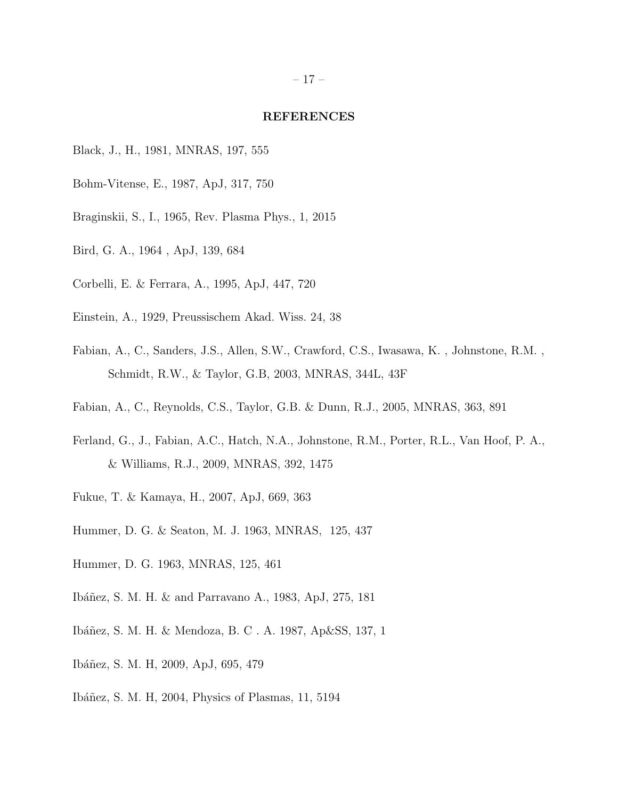#### REFERENCES

- <span id="page-16-12"></span>Black, J., H., 1981, MNRAS, 197, 555
- <span id="page-16-3"></span>Bohm-Vitense, E., 1987, ApJ, 317, 750
- <span id="page-16-13"></span>Braginskii, S., I., 1965, Rev. Plasma Phys., 1, 2015
- Bird, G. A., 1964 , ApJ, 139, 684
- <span id="page-16-11"></span>Corbelli, E. & Ferrara, A., 1995, ApJ, 447, 720
- <span id="page-16-0"></span>Einstein, A., 1929, Preussischem Akad. Wiss. 24, 38
- <span id="page-16-4"></span>Fabian, A., C., Sanders, J.S., Allen, S.W., Crawford, C.S., Iwasawa, K. , Johnstone, R.M. , Schmidt, R.W., & Taylor, G.B, 2003, MNRAS, 344L, 43F
- <span id="page-16-5"></span>Fabian, A., C., Reynolds, C.S., Taylor, G.B. & Dunn, R.J., 2005, MNRAS, 363, 891
- <span id="page-16-6"></span>Ferland, G., J., Fabian, A.C., Hatch, N.A., Johnstone, R.M., Porter, R.L., Van Hoof, P. A., & Williams, R.J., 2009, MNRAS, 392, 1475
- Fukue, T. & Kamaya, H., 2007, ApJ, 669, 363
- <span id="page-16-9"></span>Hummer, D. G. & Seaton, M. J. 1963, MNRAS, 125, 437
- <span id="page-16-10"></span>Hummer, D. G. 1963, MNRAS, 125, 461
- <span id="page-16-2"></span>Ibáñez, S. M. H. & and Parravano A., 1983, ApJ, 275, 181
- <span id="page-16-7"></span>Ibáñez, S. M. H. & Mendoza, B. C. A. 1987, Ap&SS, 137, 1
- <span id="page-16-1"></span>Ibáñez, S. M. H, 2009, ApJ, 695, 479
- <span id="page-16-8"></span>Ibáñez, S. M. H, 2004, Physics of Plasmas, 11, 5194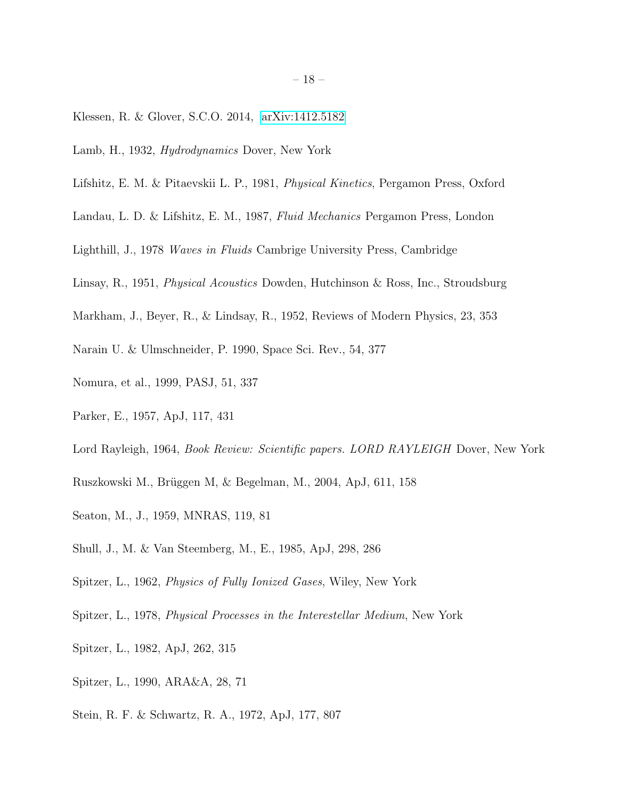- <span id="page-17-16"></span>Klessen, R. & Glover, S.C.O. 2014, [arXiv:1412.5182](http://arxiv.org/abs/1412.5182)
- <span id="page-17-2"></span>Lamb, H., 1932, Hydrodynamics Dover, New York
- <span id="page-17-12"></span>Lifshitz, E. M. & Pitaevskii L. P., 1981, Physical Kinetics, Pergamon Press, Oxford
- <span id="page-17-0"></span>Landau, L. D. & Lifshitz, E. M., 1987, Fluid Mechanics Pergamon Press, London
- <span id="page-17-4"></span>Lighthill, J., 1978 Waves in Fluids Cambrige University Press, Cambridge
- <span id="page-17-3"></span>Linsay, R., 1951, Physical Acoustics Dowden, Hutchinson & Ross, Inc., Stroudsburg
- <span id="page-17-11"></span>Markham, J., Beyer, R., & Lindsay, R., 1952, Reviews of Modern Physics, 23, 353
- <span id="page-17-7"></span>Narain U. & Ulmschneider, P. 1990, Space Sci. Rev., 54, 377
- <span id="page-17-18"></span>Nomura, et al., 1999, PASJ, 51, 337
- <span id="page-17-14"></span>Parker, E., 1957, ApJ, 117, 431
- <span id="page-17-1"></span>Lord Rayleigh, 1964, *Book Review: Scientific papers. LORD RAYLEIGH* Dover, New York
- <span id="page-17-10"></span>Ruszkowski M., Brüggen M, & Begelman, M., 2004, ApJ, 611, 158
- <span id="page-17-13"></span>Seaton, M., J., 1959, MNRAS, 119, 81
- <span id="page-17-15"></span>Shull, J., M. & Van Steemberg, M., E., 1985, ApJ, 298, 286
- <span id="page-17-17"></span>Spitzer, L., 1962, Physics of Fully Ionized Gases, Wiley, New York
- <span id="page-17-6"></span>Spitzer, L., 1978, Physical Processes in the Interestellar Medium, New York
- <span id="page-17-8"></span>Spitzer, L., 1982, ApJ, 262, 315
- <span id="page-17-9"></span>Spitzer, L., 1990, ARA&A, 28, 71
- <span id="page-17-5"></span>Stein, R. F. & Schwartz, R. A., 1972, ApJ, 177, 807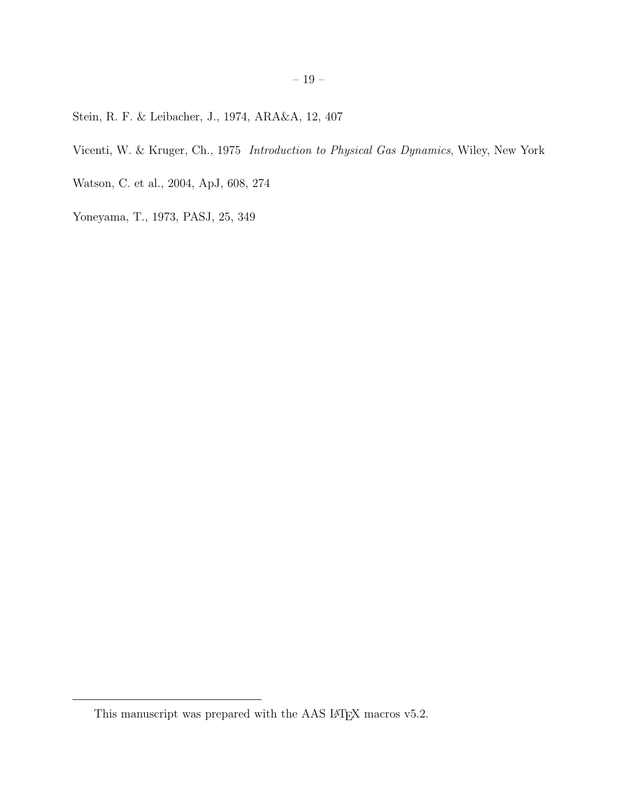<span id="page-18-2"></span>Stein, R. F. & Leibacher, J., 1974, ARA&A, 12, 407

<span id="page-18-0"></span>Vicenti, W. & Kruger, Ch., 1975 Introduction to Physical Gas Dynamics, Wiley, New York

<span id="page-18-3"></span>Watson, C. et al., 2004, ApJ, 608, 274

<span id="page-18-1"></span>Yoneyama, T., 1973, PASJ, 25, 349

This manuscript was prepared with the AAS IATEX macros v5.2.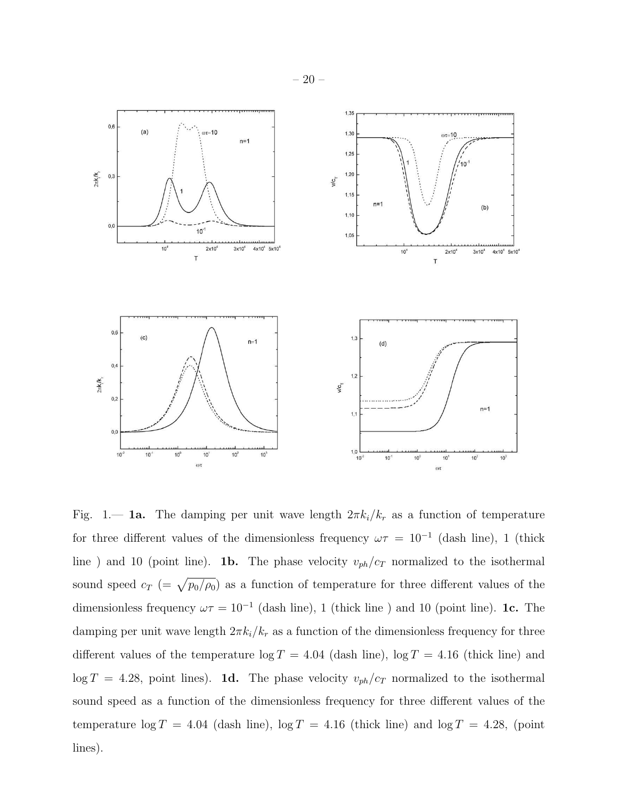

Fig. 1.— **1a.** The damping per unit wave length  $2\pi k_i/k_r$  as a function of temperature for three different values of the dimensionless frequency  $\omega \tau = 10^{-1}$  (dash line), 1 (thick line ) and 10 (point line). **1b.** The phase velocity  $v_{ph}/c_T$  normalized to the isothermal sound speed  $c_T$  (=  $\sqrt{p_0/\rho_0}$ ) as a function of temperature for three different values of the dimensionless frequency  $\omega \tau = 10^{-1}$  (dash line), 1 (thick line) and 10 (point line). 1c. The damping per unit wave length  $2\pi k_i/k_r$  as a function of the dimensionless frequency for three different values of the temperature  $\log T = 4.04$  (dash line),  $\log T = 4.16$  (thick line) and  $\log T = 4.28$ , point lines). **1d.** The phase velocity  $v_{ph}/c_T$  normalized to the isothermal sound speed as a function of the dimensionless frequency for three different values of the temperature  $\log T = 4.04$  (dash line),  $\log T = 4.16$  (thick line) and  $\log T = 4.28$ , (point lines).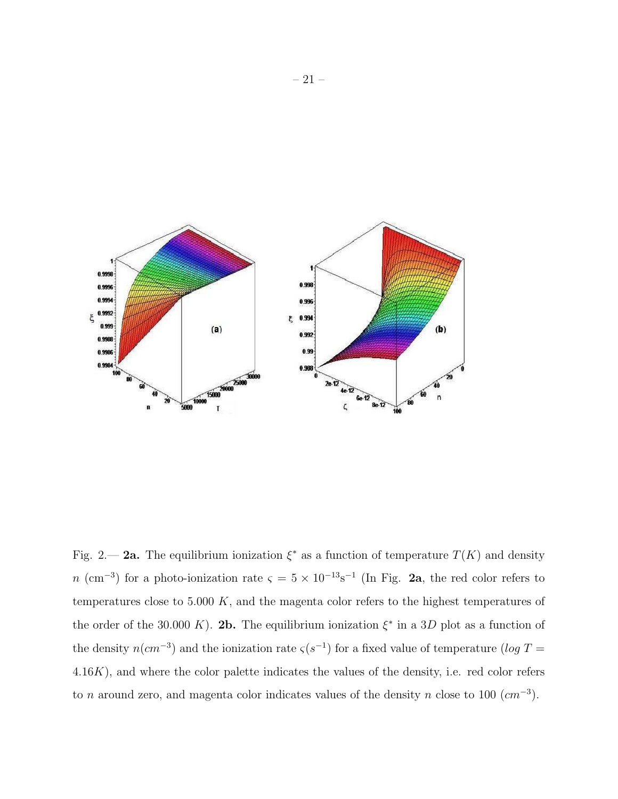

Fig. 2.— 2a. The equilibrium ionization  $\xi^*$  as a function of temperature  $T(K)$  and density n (cm<sup>-3</sup>) for a photo-ionization rate  $\varsigma = 5 \times 10^{-13}$ s<sup>-1</sup> (In Fig. 2a, the red color refers to temperatures close to  $5.000\ K$ , and the magenta color refers to the highest temperatures of the order of the 30.000 K). 2b. The equilibrium ionization  $\xi^*$  in a 3D plot as a function of the density  $n(cm^{-3})$  and the ionization rate  $\varsigma(s^{-1})$  for a fixed value of temperature (log T = 4.16K), and where the color palette indicates the values of the density, i.e. red color refers to *n* around zero, and magenta color indicates values of the density *n* close to 100  $(cm<sup>-3</sup>)$ .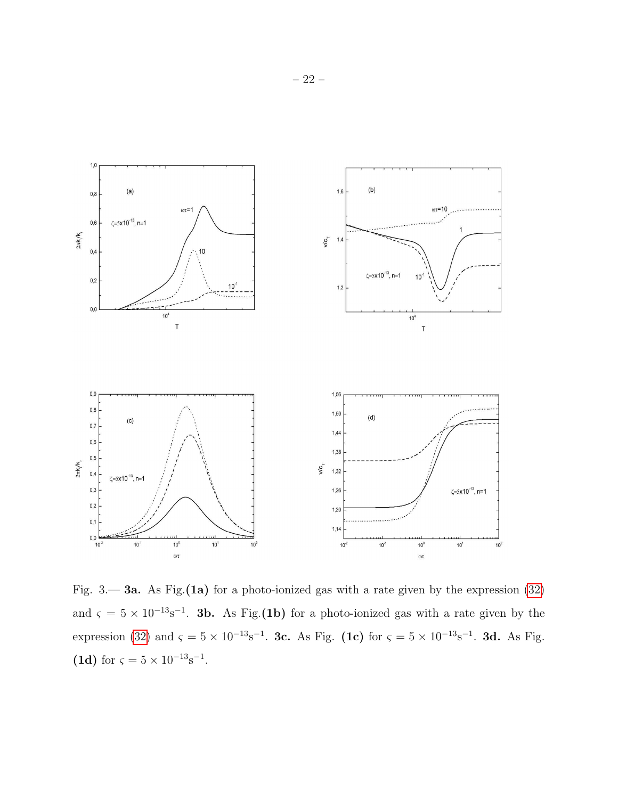

Fig.  $3$ — 3a. As Fig.(1a) for a photo-ionized gas with a rate given by the expression [\(32\)](#page-10-0) and  $\zeta = 5 \times 10^{-13}$ s<sup>-1</sup>. **3b.** As Fig.(**1b**) for a photo-ionized gas with a rate given by the expression [\(32\)](#page-10-0) and  $\zeta = 5 \times 10^{-13} \text{s}^{-1}$ . **3c.** As Fig. (1c) for  $\zeta = 5 \times 10^{-13} \text{s}^{-1}$ . **3d.** As Fig. (1d) for  $\varsigma = 5 \times 10^{-13}$ s<sup>-1</sup>.